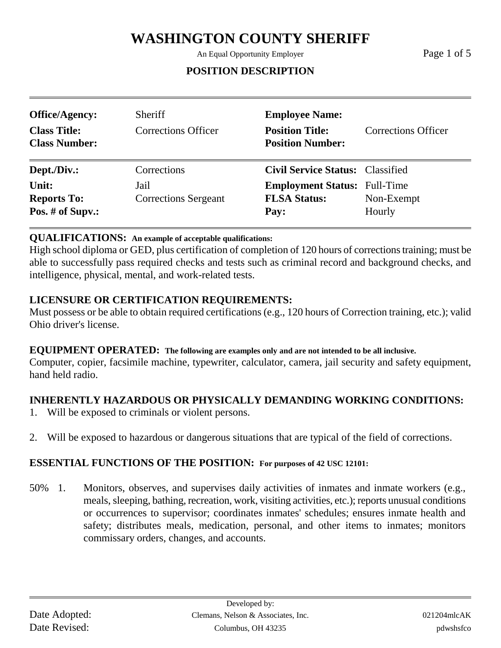An Equal Opportunity Employer Page 1 of 5

## **POSITION DESCRIPTION**

| <b>Office/Agency:</b><br><b>Class Title:</b><br><b>Class Number:</b> | <b>Sheriff</b><br><b>Corrections Officer</b> | <b>Employee Name:</b><br><b>Position Title:</b><br><b>Position Number:</b> | Corrections Officer  |
|----------------------------------------------------------------------|----------------------------------------------|----------------------------------------------------------------------------|----------------------|
| Dept./Div.:                                                          | Corrections                                  | <b>Civil Service Status: Classified</b>                                    |                      |
| Unit:<br><b>Reports To:</b><br>Pos. # of Supv.:                      | Jail<br><b>Corrections Sergeant</b>          | <b>Employment Status:</b> Full-Time<br><b>FLSA Status:</b><br>Pay:         | Non-Exempt<br>Hourly |

### **QUALIFICATIONS: An example of acceptable qualifications:**

High school diploma or GED, plus certification of completion of 120 hours of corrections training; must be able to successfully pass required checks and tests such as criminal record and background checks, and intelligence, physical, mental, and work-related tests.

## **LICENSURE OR CERTIFICATION REQUIREMENTS:**

Must possess or be able to obtain required certifications (e.g., 120 hours of Correction training, etc.); valid Ohio driver's license.

#### **EQUIPMENT OPERATED: The following are examples only and are not intended to be all inclusive.**

Computer, copier, facsimile machine, typewriter, calculator, camera, jail security and safety equipment, hand held radio.

## **INHERENTLY HAZARDOUS OR PHYSICALLY DEMANDING WORKING CONDITIONS:**

- 1. Will be exposed to criminals or violent persons.
- 2. Will be exposed to hazardous or dangerous situations that are typical of the field of corrections.

### **ESSENTIAL FUNCTIONS OF THE POSITION: For purposes of 42 USC 12101:**

50% 1. Monitors, observes, and supervises daily activities of inmates and inmate workers (e.g., meals, sleeping, bathing, recreation, work, visiting activities, etc.); reports unusual conditions or occurrences to supervisor; coordinates inmates' schedules; ensures inmate health and safety; distributes meals, medication, personal, and other items to inmates; monitors commissary orders, changes, and accounts.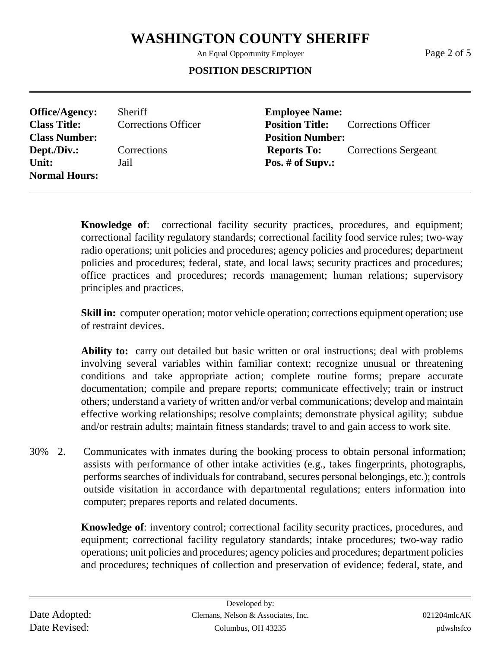An Equal Opportunity Employer Page 2 of 5

#### **POSITION DESCRIPTION**

**Office/Agency:** Sheriff **Employee Name: Class Number: Position Number:** Unit: Jail **Pos. # of Supv.: Normal Hours:**

**Class Title:** Corrections Officer **Position Title:** Corrections Officer **Dept./Div.:** Corrections **Reports To:** Corrections Sergeant

> **Knowledge of**: correctional facility security practices, procedures, and equipment; correctional facility regulatory standards; correctional facility food service rules; two-way radio operations; unit policies and procedures; agency policies and procedures; department policies and procedures; federal, state, and local laws; security practices and procedures; office practices and procedures; records management; human relations; supervisory principles and practices.

> **Skill in:** computer operation; motor vehicle operation; corrections equipment operation; use of restraint devices.

> **Ability to:** carry out detailed but basic written or oral instructions; deal with problems involving several variables within familiar context; recognize unusual or threatening conditions and take appropriate action; complete routine forms; prepare accurate documentation; compile and prepare reports; communicate effectively; train or instruct others; understand a variety of written and/or verbal communications; develop and maintain effective working relationships; resolve complaints; demonstrate physical agility; subdue and/or restrain adults; maintain fitness standards; travel to and gain access to work site.

30% 2. Communicates with inmates during the booking process to obtain personal information; assists with performance of other intake activities (e.g., takes fingerprints, photographs, performs searches of individuals for contraband, secures personal belongings, etc.); controls outside visitation in accordance with departmental regulations; enters information into computer; prepares reports and related documents.

> **Knowledge of**: inventory control; correctional facility security practices, procedures, and equipment; correctional facility regulatory standards; intake procedures; two-way radio operations; unit policies and procedures; agency policies and procedures; department policies and procedures; techniques of collection and preservation of evidence; federal, state, and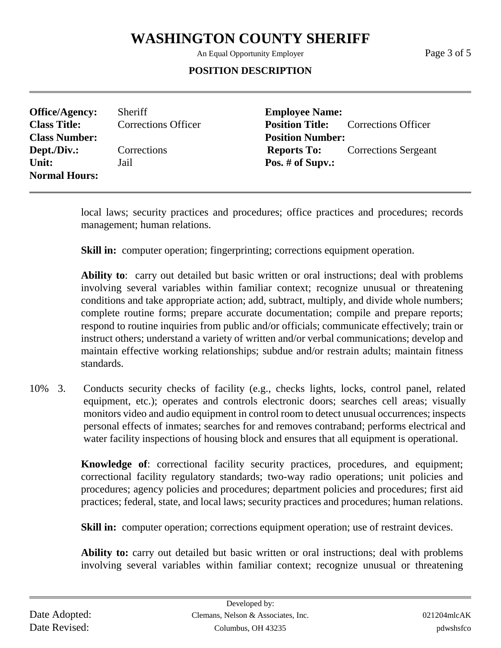An Equal Opportunity Employer Page 3 of 5

#### **POSITION DESCRIPTION**

**Office/Agency:** Sheriff **Employee Name: Class Title:** Corrections Officer **Position Title:** Corrections Officer **Class Number: Position Number: Dept./Div.:** Corrections **Reports To:** Corrections Sergeant Unit: Jail **Pos. # of Supv.: Normal Hours:**

local laws; security practices and procedures; office practices and procedures; records management; human relations.

**Skill in:** computer operation; fingerprinting; corrections equipment operation.

**Ability to**: carry out detailed but basic written or oral instructions; deal with problems involving several variables within familiar context; recognize unusual or threatening conditions and take appropriate action; add, subtract, multiply, and divide whole numbers; complete routine forms; prepare accurate documentation; compile and prepare reports; respond to routine inquiries from public and/or officials; communicate effectively; train or instruct others; understand a variety of written and/or verbal communications; develop and maintain effective working relationships; subdue and/or restrain adults; maintain fitness standards.

10% 3. Conducts security checks of facility (e.g., checks lights, locks, control panel, related equipment, etc.); operates and controls electronic doors; searches cell areas; visually monitors video and audio equipment in control room to detect unusual occurrences; inspects personal effects of inmates; searches for and removes contraband; performs electrical and water facility inspections of housing block and ensures that all equipment is operational.

> **Knowledge of**: correctional facility security practices, procedures, and equipment; correctional facility regulatory standards; two-way radio operations; unit policies and procedures; agency policies and procedures; department policies and procedures; first aid practices; federal, state, and local laws; security practices and procedures; human relations.

**Skill in:** computer operation; corrections equipment operation; use of restraint devices.

**Ability to:** carry out detailed but basic written or oral instructions; deal with problems involving several variables within familiar context; recognize unusual or threatening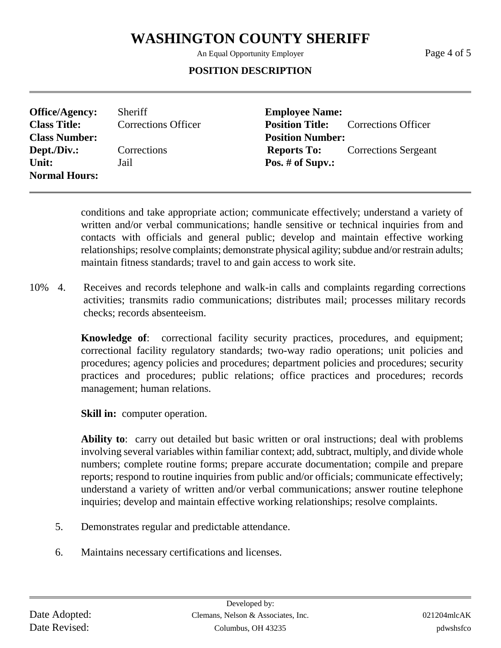An Equal Opportunity Employer Page 4 of 5

### **POSITION DESCRIPTION**

**Office/Agency:** Sheriff **Employee Name: Class Title:** Corrections Officer **Position Title:** Corrections Officer **Class Number: Position Number: Dept./Div.:** Corrections **Reports To:** Corrections Sergeant Unit: Jail **Pos. # of Supv.: Normal Hours:**

conditions and take appropriate action; communicate effectively; understand a variety of written and/or verbal communications; handle sensitive or technical inquiries from and contacts with officials and general public; develop and maintain effective working relationships; resolve complaints; demonstrate physical agility; subdue and/or restrain adults; maintain fitness standards; travel to and gain access to work site.

10% 4. Receives and records telephone and walk-in calls and complaints regarding corrections activities; transmits radio communications; distributes mail; processes military records checks; records absenteeism.

> **Knowledge of**: correctional facility security practices, procedures, and equipment; correctional facility regulatory standards; two-way radio operations; unit policies and procedures; agency policies and procedures; department policies and procedures; security practices and procedures; public relations; office practices and procedures; records management; human relations.

**Skill in:** computer operation.

**Ability to**: carry out detailed but basic written or oral instructions; deal with problems involving several variables within familiar context; add, subtract, multiply, and divide whole numbers; complete routine forms; prepare accurate documentation; compile and prepare reports; respond to routine inquiries from public and/or officials; communicate effectively; understand a variety of written and/or verbal communications; answer routine telephone inquiries; develop and maintain effective working relationships; resolve complaints.

- 5. Demonstrates regular and predictable attendance.
- 6. Maintains necessary certifications and licenses.